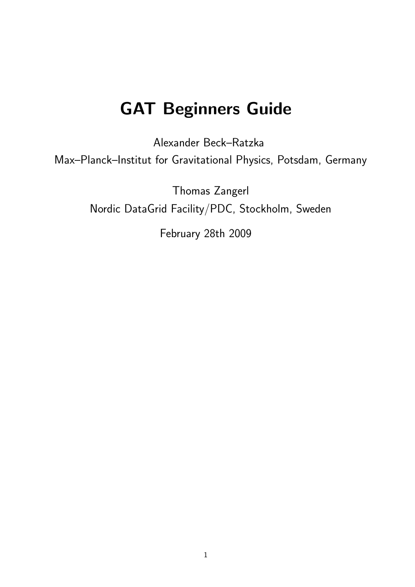# GAT Beginners Guide

Alexander Beck–Ratzka Max–Planck–Institut for Gravitational Physics, Potsdam, Germany

> Thomas Zangerl Nordic DataGrid Facility/PDC, Stockholm, Sweden

> > February 28th 2009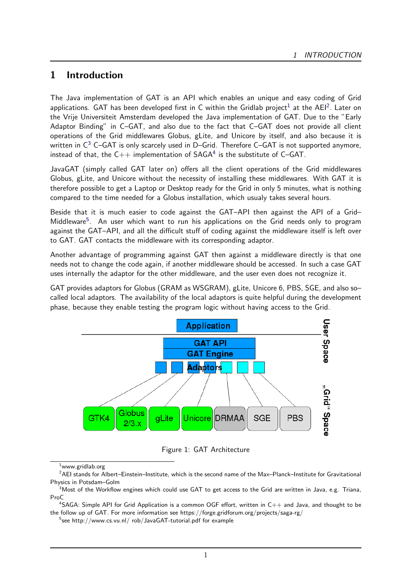# 1 Introduction

The Java implementation of GAT is an API which enables an unique and easy coding of Grid applications. GAT has been developed first in C within the Gridlab project<sup>[1](#page-1-0)</sup> at the AEI<sup>[2](#page-1-1)</sup>. Later on the Vrije Universiteit Amsterdam developed the Java implementation of GAT. Due to the "Early Adaptor Binding" in C–GAT, and also due to the fact that C–GAT does not provide all client operations of the Grid middlewares Globus, gLite, and Unicore by itself, and also because it is written in  $C^3$  $C^3$  C–GAT is only scarcely used in D–Grid. Therefore C–GAT is not supported anymore, instead of that, the  $C++$  implementation of  $SAGA<sup>4</sup>$  $SAGA<sup>4</sup>$  $SAGA<sup>4</sup>$  is the substitute of  $C-GAT$ .

JavaGAT (simply called GAT later on) offers all the client operations of the Grid middlewares Globus, gLite, and Unicore without the necessity of installing these middlewares. With GAT it is therefore possible to get a Laptop or Desktop ready for the Grid in only 5 minutes, what is nothing compared to the time needed for a Globus installation, which usualy takes several hours.

Beside that it is much easier to code against the GAT–API then against the API of a Grid– Middleware<sup>[5](#page-1-4)</sup>. An user which want to run his applications on the Grid needs only to program against the GAT–API, and all the difficult stuff of coding against the middleware itself is left over to GAT. GAT contacts the middleware with its corresponding adaptor.

Another advantage of programming against GAT then against a middleware directly is that one needs not to change the code again, if another middleware should be accessed. In such a case GAT uses internally the adaptor for the other middleware, and the user even does not recognize it.

GAT provides adaptors for Globus (GRAM as WSGRAM), gLite, Unicore 6, PBS, SGE, and also so– called local adaptors. The availability of the local adaptors is quite helpful during the development phase, because they enable testing the program logic without having access to the Grid.



Figure 1: GAT Architecture

<span id="page-1-1"></span><span id="page-1-0"></span> $^1$ www.gridlab.org

 $^2$ AEI stands for Albert–Einstein–Institute, which is the second name of the Max–Planck–Institute for Gravitational Physics in Potsdam–Golm

<span id="page-1-2"></span> $^3$ Most of the Workflow engines which could use GAT to get access to the Grid are written in Java, e.g. Triana, ProC

<span id="page-1-3"></span> $^4$ SAGA: Simple API for Grid Application is a common OGF effort, written in  $\mathsf{C++}$  and Java, and thought to be the follow up of GAT. For more information see https://forge.gridforum.org/projects/saga-rg/

<span id="page-1-4"></span> $^5$ see http://www.cs.vu.nl/ rob/JavaGAT-tutorial.pdf for example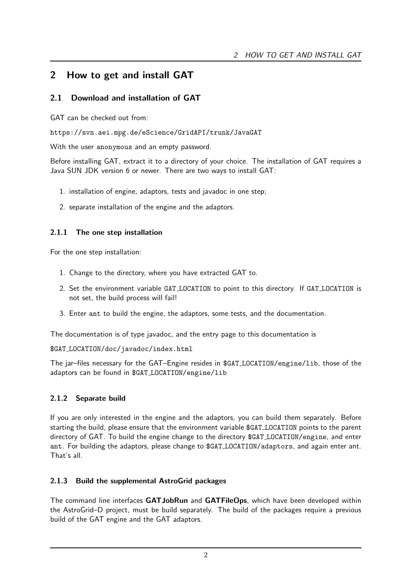# <span id="page-2-0"></span>2 How to get and install GAT

# 2.1 Download and installation of GAT

GAT can be checked out from:

https://svn.aei.mpg.de/eScience/GridAPI/trunk/JavaGAT

With the user anonymous and an empty password.

Before installing GAT, extract it to a directory of your choice. The installation of GAT requires a Java SUN JDK version 6 or newer. There are two ways to install GAT:

- 1. installation of engine, adaptors, tests and javadoc in one step;
- 2. separate installation of the engine and the adaptors.

# 2.1.1 The one step installation

For the one step installation:

- 1. Change to the directory, where you have extracted GAT to.
- 2. Set the environment variable GAT LOCATION to point to this directory. If GAT LOCATION is not set, the build process will fail!
- 3. Enter ant to build the engine, the adaptors, some tests, and the documentation.

The documentation is of type javadoc, and the entry page to this documentation is

\$GAT LOCATION/doc/javadoc/index.html

The jar–files necessary for the GAT–Engine resides in \$GAT LOCATION/engine/lib, those of the adaptors can be found in \$GAT LOCATION/engine/lib

# 2.1.2 Separate build

If you are only interested in the engine and the adaptors, you can build them separately. Before starting the build, please ensure that the environment variable \$GAT LOCATION points to the parent directory of GAT. To build the engine change to the directory \$GAT LOCATION/engine, and enter ant. For building the adaptors, please change to \$GAT LOCATION/adaptors, and again enter ant. That's all.

# 2.1.3 Build the supplemental AstroGrid packages

The command line interfaces GATJobRun and GATFileOps, which have been developed within the AstroGrid–D project, must be build separately. The build of the packages require a previous build of the GAT engine and the GAT adaptors.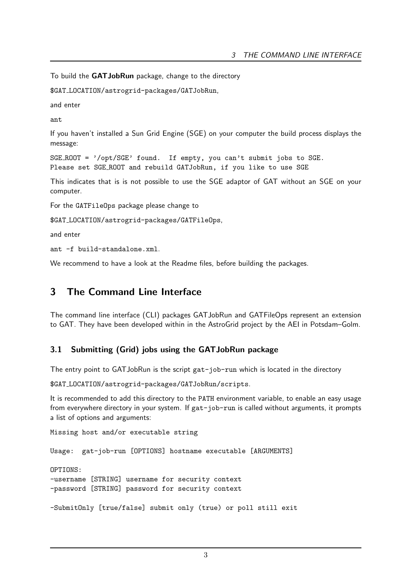To build the GATJobRun package, change to the directory

\$GAT LOCATION/astrogrid-packages/GATJobRun,

and enter

ant

If you haven't installed a Sun Grid Engine (SGE) on your computer the build process displays the message:

```
SGE ROOT = '/opt/SGE' found. If empty, you can't submit jobs to SGE.
Please set SGE ROOT and rebuild GATJobRun, if you like to use SGE
```
This indicates that is is not possible to use the SGE adaptor of GAT without an SGE on your computer.

For the GATFileOps package please change to

\$GAT LOCATION/astrogrid-packages/GATFileOps,

and enter

ant -f build-standalone.xml.

We recommend to have a look at the Readme files, before building the packages.

# 3 The Command Line Interface

The command line interface (CLI) packages GATJobRun and GATFileOps represent an extension to GAT. They have been developed within in the AstroGrid project by the AEI in Potsdam–Golm.

## 3.1 Submitting (Grid) jobs using the GATJobRun package

The entry point to GATJobRun is the script gat-job-run which is located in the directory

\$GAT LOCATION/astrogrid-packages/GATJobRun/scripts.

It is recommended to add this directory to the PATH environment variable, to enable an easy usage from everywhere directory in your system. If gat-job-run is called without arguments, it prompts a list of options and arguments:

Missing host and/or executable string

Usage: gat-job-run [OPTIONS] hostname executable [ARGUMENTS]

OPTIONS:

-username [STRING] username for security context -password [STRING] password for security context

-SubmitOnly [true/false] submit only (true) or poll still exit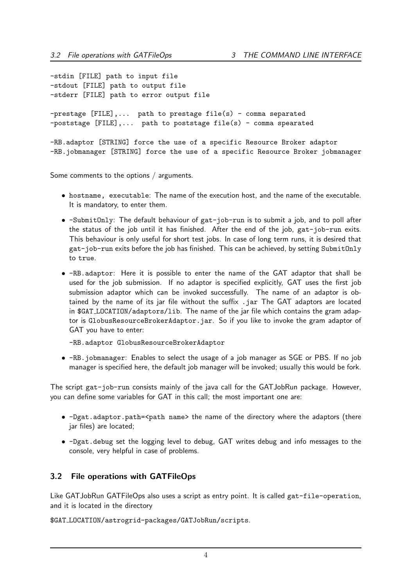-stdin [FILE] path to input file -stdout [FILE] path to output file -stderr [FILE] path to error output file -prestage [FILE],... path to prestage file(s) - comma separated  $-poststage$  [FILE],... path to poststage file(s) - comma spearated -RB.adaptor [STRING] force the use of a specific Resource Broker adaptor -RB.jobmanager [STRING] force the use of a specific Resource Broker jobmanager

Some comments to the options / arguments.

- *•* hostname, executable: The name of the execution host, and the name of the executable. It is mandatory, to enter them.
- *•* -SubmitOnly: The default behaviour of gat-job-run is to submit a job, and to poll after the status of the job until it has finished. After the end of the job, gat-job-run exits. This behaviour is only useful for short test jobs. In case of long term runs, it is desired that gat-job-run exits before the job has finished. This can be achieved, by setting SubmitOnly to true.
- *•* -RB.adaptor: Here it is possible to enter the name of the GAT adaptor that shall be used for the job submission. If no adaptor is specified explicitly, GAT uses the first job submission adaptor which can be invoked successfully. The name of an adaptor is obtained by the name of its jar file without the suffix . jar The GAT adaptors are located in \$GAT LOCATION/adaptors/lib. The name of the jar file which contains the gram adaptor is GlobusResourceBrokerAdaptor.jar. So if you like to invoke the gram adaptor of GAT you have to enter:

-RB.adaptor GlobusResourceBrokerAdaptor

*•* -RB.jobmanager: Enables to select the usage of a job manager as SGE or PBS. If no job manager is specified here, the default job manager will be invoked; usually this would be fork.

The script gat-job-run consists mainly of the java call for the GATJobRun package. However, you can define some variables for GAT in this call; the most important one are:

- -Dgat.adaptor.path=<path name> the name of the directory where the adaptors (there jar files) are located;
- *•* -Dgat.debug set the logging level to debug, GAT writes debug and info messages to the console, very helpful in case of problems.

# 3.2 File operations with GATFileOps

Like GATJobRun GATFileOps also uses a script as entry point. It is called gat-file-operation, and it is located in the directory

\$GAT LOCATION/astrogrid-packages/GATJobRun/scripts.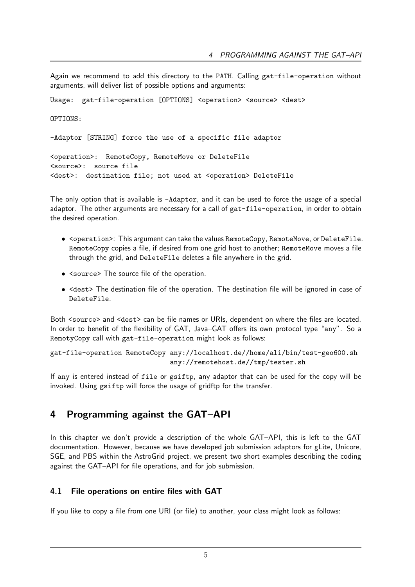Again we recommend to add this directory to the PATH. Calling gat-file-operation without arguments, will deliver list of possible options and arguments:

Usage: gat-file-operation [OPTIONS] <operation> <source> <dest> OPTIONS: -Adaptor [STRING] force the use of a specific file adaptor <operation>: RemoteCopy, RemoteMove or DeleteFile <source>: source file <dest>: destination file; not used at <operation> DeleteFile

The only option that is available is -Adaptor, and it can be used to force the usage of a special adaptor. The other arguments are necessary for a call of gat-file-operation, in order to obtain the desired operation.

- <operation>: This argument can take the values RemoteCopy, RemoteMove, or DeleteFile. RemoteCopy copies a file, if desired from one grid host to another; RemoteMove moves a file through the grid, and DeleteFile deletes a file anywhere in the grid.
- *•* <source> The source file of the operation.
- <dest> The destination file of the operation. The destination file will be ignored in case of DeleteFile.

Both <source> and <dest> can be file names or URIs, dependent on where the files are located. In order to benefit of the flexibility of GAT, Java–GAT offers its own protocol type "any". So a RemotyCopy call with gat-file-operation might look as follows:

```
gat-file-operation RemoteCopy any://localhost.de//home/ali/bin/test-geo600.sh
                              any://remotehost.de//tmp/tester.sh
```
If any is entered instead of file or gsiftp, any adaptor that can be used for the copy will be invoked. Using gsiftp will force the usage of gridftp for the transfer.

# 4 Programming against the GAT–API

In this chapter we don't provide a description of the whole GAT–API, this is left to the GAT documentation. However, because we have developed job submission adaptors for gLite, Unicore, SGE, and PBS within the AstroGrid project, we present two short examples describing the coding against the GAT–API for file operations, and for job submission.

# 4.1 File operations on entire files with GAT

If you like to copy a file from one URI (or file) to another, your class might look as follows: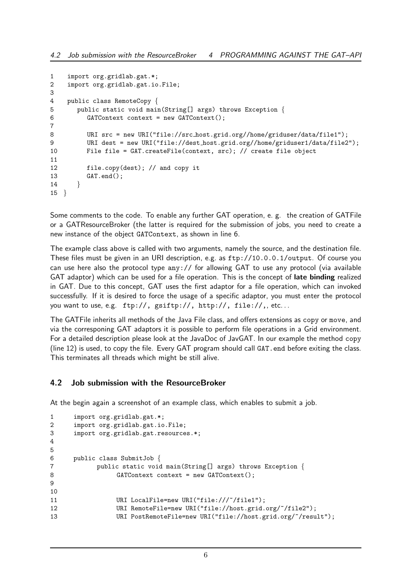```
1 import org.gridlab.gat.*;
2 import org.gridlab.gat.io.File;
3
4 public class RemoteCopy {
5 public static void main(String[] args) throws Exception {
         GATContext context = new GATContext();
7
8 URI src = new URI("file://src_host.grid.org//home/griduser/data/file1");
9 URI dest = new URI("file://dest_host.grid.org//home/griduser1/data/file2");
10 File file = GAT.createFile(context, src); // create file object
11
12 file.copy(dest); // and copy it
13 GAT.end();
14 }
15 }
```
Some comments to the code. To enable any further GAT operation, e. g. the creation of GATFile or a GATResourceBroker (the latter is required for the submission of jobs, you need to create a new instance of the object GATContext, as shown in line 6.

The example class above is called with two arguments, namely the source, and the destination file. These files must be given in an URI description, e.g. as ftp://10.0.0.1/output. Of course you can use here also the protocol type any:// for allowing GAT to use any protocol (via available GAT adaptor) which can be used for a file operation. This is the concept of **late binding** realized in GAT. Due to this concept, GAT uses the first adaptor for a file operation, which can invoked successfully. If it is desired to force the usage of a specific adaptor, you must enter the protocol you want to use, e.g. ftp://, gsiftp://, http://, file://,, etc...

The GATFile inherits all methods of the Java File class, and offers extensions as copy or move, and via the corresponing GAT adaptors it is possible to perform file operations in a Grid environment. For a detailed description please look at the JavaDoc of JavGAT. In our example the method copy (line 12) is used, to copy the file. Every GAT program should call GAT. end before exiting the class. This terminates all threads which might be still alive.

## 4.2 Job submission with the ResourceBroker

At the begin again a screenshot of an example class, which enables to submit a job.

```
1 import org.gridlab.gat.*;
2 import org.gridlab.gat.io.File;
3 import org.gridlab.gat.resources.*;
4
5
6 public class SubmitJob {
7 public static void main(String[] args) throws Exception {
               GATContext context = new GATContext);
9
10
11 URI LocalFile=new URI("file:///"/file1");
12 URI RemoteFile=new URI("file://host.grid.org/~/file2");
13 URI PostRemoteFile=new URI("file://host.grid.org/~/result");
```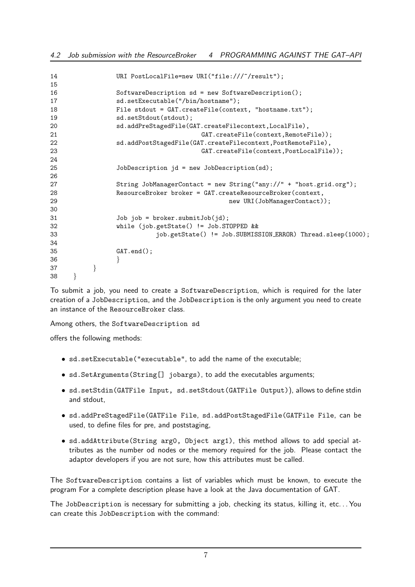```
14 URI PostLocalFile=new URI("file:///"/result");
15
16 SoftwareDescription sd = new SoftwareDescription();
17 sd.setExecutable("/bin/hostname");
18 File stdout = GAT.createFile(context, "hostname.txt");
19 sd.setStdout(stdout);
20 sd.addPreStagedFile(GAT.createFilecontext,LocalFile),
21 GAT.createFile(context,RemoteFile));
22 sd.addPostStagedFile(GAT.createFilecontext,PostRemoteFile),
23 GAT.createFile(context,PostLocalFile));
2425 JobDescription jd = new JobDescription(sd);
26
27 String JobManagerContact = new String("any://" + "host.grid.org");
28 ResourceBroker broker = GAT.createResourceBroker(context,
29 new URI(JobManagerContact));
30
31 Job job = broker.submitJob(jd);
32 while (job.getState() != Job.STOPPED &&
33 job.getState() != Job.SUBMISSION ERROR) Thread.sleep(1000);
34
35 GAT.end();
36 }
37 }
38 }
```
To submit a job, you need to create a SoftwareDescription, which is required for the later creation of a JobDescription, and the JobDescription is the only argument you need to create an instance of the ResourceBroker class.

Among others, the SoftwareDescription sd

offers the following methods:

- *•* sd.setExecutable("executable", to add the name of the executable;
- *•* sd.SetArguments(String[] jobargs), to add the executables arguments;
- *•* sd.setStdin(GATFile Input, sd.setStdout(GATFile Output)), allows to define stdin and stdout,
- *•* sd.addPreStagedFile(GATFile File, sd.addPostStagedFile(GATFile File, can be used, to define files for pre, and poststaging,
- *•* sd.addAttribute(String arg0, Object arg1), this method allows to add special attributes as the number od nodes or the memory required for the job. Please contact the adaptor developers if you are not sure, how this attributes must be called.

The SoftwareDescription contains a list of variables which must be known, to execute the program For a complete description please have a look at the Java documentation of GAT.

The JobDescription is necessary for submitting a job, checking its status, killing it, etc... You can create this JobDescription with the command: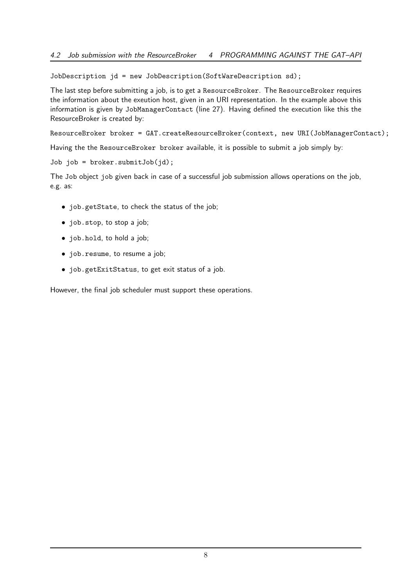JobDescription jd = new JobDescription(SoftWareDescription sd);

The last step before submitting a job, is to get a ResourceBroker. The ResourceBroker requires the information about the exeution host, given in an URI representation. In the example above this information is given by JobManagerContact (line 27). Having defined the execution like this the ResourceBroker is created by:

ResourceBroker broker = GAT.createResourceBroker(context, new URI(JobManagerContact);

Having the the ResourceBroker broker available, it is possible to submit a job simply by:

Job job = broker.submitJob(jd);

The Job object job given back in case of a successful job submission allows operations on the job, e.g. as:

- *•* job.getState, to check the status of the job;
- *•* job.stop, to stop a job;
- *•* job.hold, to hold a job;
- *•* job.resume, to resume a job;
- *•* job.getExitStatus, to get exit status of a job.

However, the final job scheduler must support these operations.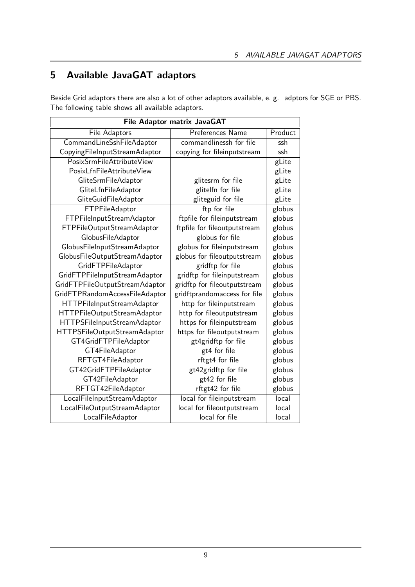# 5 Available JavaGAT adaptors

Beside Grid adaptors there are also a lot of other adaptors available, e. g. adptors for SGE or PBS. The following table shows all available adaptors.

| File Adaptor matrix JavaGAT    |                              |         |  |
|--------------------------------|------------------------------|---------|--|
| File Adaptors                  | Preferences Name             | Product |  |
| CommandLineSshFileAdaptor      | commandlinessh for file      | ssh     |  |
| CopyingFileInputStreamAdaptor  | copying for fileinputstream  | ssh     |  |
| PosixSrmFileAttributeView      |                              | gLite   |  |
| PosixLfnFileAttributeView      |                              | gLite   |  |
| GliteSrmFileAdaptor            | glitesrm for file            | gLite   |  |
| GliteLfnFileAdaptor            | glitelfn for file            | gLite   |  |
| GliteGuidFileAdaptor           | gliteguid for file           | gLite   |  |
| FTPFileAdaptor                 | ftp for file                 | globus  |  |
| FTPFileInputStreamAdaptor      | ftpfile for fileinputstream  | globus  |  |
| FTPFileOutputStreamAdaptor     | ftpfile for fileoutputstream | globus  |  |
| GlobusFileAdaptor              | globus for file              | globus  |  |
| GlobusFileInputStreamAdaptor   | globus for fileinputstream   | globus  |  |
| GlobusFileOutputStreamAdaptor  | globus for fileoutputstream  | globus  |  |
| GridFTPFileAdaptor             | gridftp for file             | globus  |  |
| GridFTPFileInputStreamAdaptor  | gridftp for fileinputstream  | globus  |  |
| GridFTPFileOutputStreamAdaptor | gridftp for fileoutputstream | globus  |  |
| GridFTPRandomAccessFileAdaptor | gridftprandomaccess for file | globus  |  |
| HTTPFileInputStreamAdaptor     | http for fileinputstream     | globus  |  |
| HTTPFileOutputStreamAdaptor    | http for fileoutputstream    | globus  |  |
| HTTPSFileInputStreamAdaptor    | https for fileinputstream    | globus  |  |
| HTTPSFileOutputStreamAdaptor   | https for fileoutputstream   | globus  |  |
| GT4GridFTPFileAdaptor          | gt4gridftp for file          | globus  |  |
| GT4FileAdaptor                 | gt4 for file                 | globus  |  |
| RFTGT4FileAdaptor              | rftgt4 for file              | globus  |  |
| GT42GridFTPFileAdaptor         | gt42gridftp for file         | globus  |  |
| GT42FileAdaptor                | gt42 for file                | globus  |  |
| RFTGT42FileAdaptor             | rftgt42 for file             | globus  |  |
| LocalFileInputStreamAdaptor    | local for fileinputstream    | local   |  |
| LocalFileOutputStreamAdaptor   | local for fileoutputstream   | local   |  |
| LocalFileAdaptor               | local for file               | local   |  |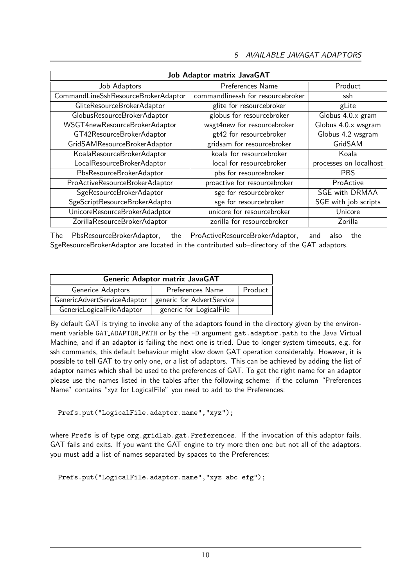| <b>Job Adaptor matrix JavaGAT</b>   |                                   |                        |  |  |
|-------------------------------------|-----------------------------------|------------------------|--|--|
| Job Adaptors                        | Preferences Name                  | Product                |  |  |
| CommandLineSshResourceBrokerAdaptor | commandlinessh for resourcebroker | ssh                    |  |  |
| GliteResourceBrokerAdaptor          | glite for resourcebroker          | gLite                  |  |  |
| GlobusResourceBrokerAdaptor         | globus for resourcebroker         | Globus 4.0.x gram      |  |  |
| WSGT4newResourceBrokerAdaptor       | wsgt4new for resourcebroker       | Globus 4.0.x wsgram    |  |  |
| GT42ResourceBrokerAdaptor           | gt42 for resourcebroker           | Globus 4.2 wsgram      |  |  |
| GridSAMResourceBrokerAdaptor        | gridsam for resourcebroker        | GridSAM                |  |  |
| KoalaResourceBrokerAdaptor          | koala for resourcebroker          | Koala                  |  |  |
| LocalResourceBrokerAdaptor          | local for resourcebroker          | processes on localhost |  |  |
| PbsResourceBrokerAdaptor            | pbs for resourcebroker            | <b>PBS</b>             |  |  |
| ProActiveResourceBrokerAdaptor      | proactive for resourcebroker      | ProActive              |  |  |
| SgeResourceBrokerAdaptor            | sge for resourcebroker            | <b>SGE with DRMAA</b>  |  |  |
| SgeScriptResourceBrokerAdapto       | sge for resourcebroker            | SGE with job scripts   |  |  |
| UnicoreResourceBrokerAdadptor       | unicore for resourcebroker        | Unicore                |  |  |
| ZorillaResourceBrokerAdaptor        | zorilla for resourcebroker        | Zorilla                |  |  |

The PbsResourceBrokerAdaptor, the ProActiveResourceBrokerAdaptor, and also the SgeResourceBrokerAdaptor are located in the contributed sub–directory of the GAT adaptors.

| <b>Generic Adaptor matrix JavaGAT</b> |                           |         |  |
|---------------------------------------|---------------------------|---------|--|
| Generice Adaptors                     | Preferences Name          | Product |  |
| GenericAdvertServiceAdaptor           | generic for AdvertService |         |  |
| GenericLogicalFileAdaptor             | generic for LogicalFile   |         |  |

By default GAT is trying to invoke any of the adaptors found in the directory given by the environment variable GAT\_ADAPTOR\_PATH or by the -D argument gat.adaptor.path to the Java Virtual Machine, and if an adaptor is failing the next one is tried. Due to longer system timeouts, e.g. for ssh commands, this default behaviour might slow down GAT operation considerably. However, it is possible to tell GAT to try only one, or a list of adaptors. This can be achieved by adding the list of adaptor names which shall be used to the preferences of GAT. To get the right name for an adaptor please use the names listed in the tables after the following scheme: if the column "Preferences Name" contains "xyz for LogicalFile" you need to add to the Preferences:

```
Prefs.put("LogicalFile.adaptor.name","xyz");
```
where Prefs is of type org.gridlab.gat.Preferences. If the invocation of this adaptor fails, GAT fails and exits. If you want the GAT engine to try more then one but not all of the adaptors, you must add a list of names separated by spaces to the Preferences:

```
Prefs.put("LogicalFile.adaptor.name","xyz abc efg");
```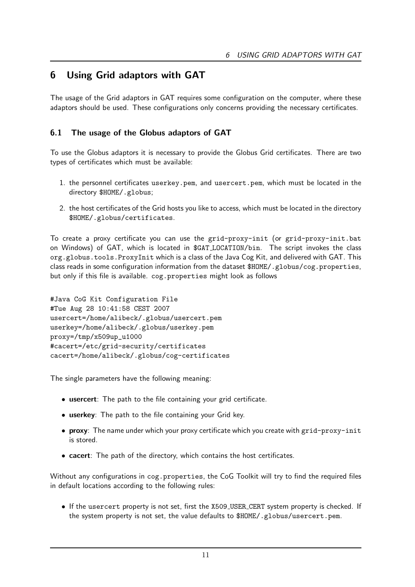# 6 Using Grid adaptors with GAT

The usage of the Grid adaptors in GAT requires some configuration on the computer, where these adaptors should be used. These configurations only concerns providing the necessary certificates.

# 6.1 The usage of the Globus adaptors of GAT

To use the Globus adaptors it is necessary to provide the Globus Grid certificates. There are two types of certificates which must be available:

- 1. the personnel certificates userkey.pem, and usercert.pem, which must be located in the directory \$HOME/.globus;
- 2. the host certificates of the Grid hosts you like to access, which must be located in the directory \$HOME/.globus/certificates.

To create a proxy certificate you can use the grid-proxy-init (or grid-proxy-init.bat on Windows) of GAT, which is located in \$GAT LOCATION/bin. The script invokes the class org.globus.tools.ProxyInit which is a class of the Java Cog Kit, and delivered with GAT. This class reads in some configuration information from the dataset \$HOME/.globus/cog.properties, but only if this file is available. cog.properties might look as follows

```
#Java CoG Kit Configuration File
#Tue Aug 28 10:41:58 CEST 2007
usercert=/home/alibeck/.globus/usercert.pem
userkey=/home/alibeck/.globus/userkey.pem
proxy=/tmp/x509up_u1000
#cacert=/etc/grid-security/certificates
cacert=/home/alibeck/.globus/cog-certificates
```
The single parameters have the following meaning:

- usercert: The path to the file containing your grid certificate.
- *•* userkey: The path to the file containing your Grid key.
- proxy: The name under which your proxy certificate which you create with grid-proxy-init is stored.
- **cacert**: The path of the directory, which contains the host certificates.

Without any configurations in cog.properties, the CoG Toolkit will try to find the required files in default locations according to the following rules:

*•* If the usercert property is not set, first the X509 USER CERT system property is checked. If the system property is not set, the value defaults to \$HOME/.globus/usercert.pem.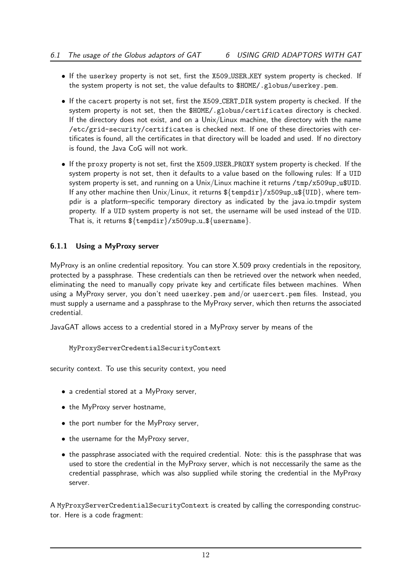- If the userkey property is not set, first the X509<sub>-</sub>USER<sub>-KEY</sub> system property is checked. If the system property is not set, the value defaults to \$HOME/.globus/userkey.pem.
- *•* If the cacert property is not set, first the X509 CERT DIR system property is checked. If the system property is not set, then the \$HOME/.globus/certificates directory is checked. If the directory does not exist, and on a Unix/Linux machine, the directory with the name /etc/grid-security/certificates is checked next. If one of these directories with certificates is found, all the certificates in that directory will be loaded and used. If no directory is found, the Java CoG will not work.
- *•* If the proxy property is not set, first the X509 USER PROXY system property is checked. If the system property is not set, then it defaults to a value based on the following rules: If a UID system property is set, and running on a  $Unix/Linux$  machine it returns  $/tmp/x509up_u$UD.$ If any other machine then Unix/Linux, it returns \$*{*tempdir*}*/x509up u\$*{*UID*}*, where tempdir is a platform–specific temporary directory as indicated by the java.io.tmpdir system property. If a UID system property is not set, the username will be used instead of the UID. That is, it returns \$*{*tempdir*}*/x509up u \$*{*username*}*.

# 6.1.1 Using a MyProxy server

MyProxy is an online credential repository. You can store X.509 proxy credentials in the repository, protected by a passphrase. These credentials can then be retrieved over the network when needed, eliminating the need to manually copy private key and certificate files between machines. When using a MyProxy server, you don't need userkey.pem and/or usercert.pem files. Instead, you must supply a username and a passphrase to the MyProxy server, which then returns the associated credential.

JavaGAT allows access to a credential stored in a MyProxy server by means of the

# MyProxyServerCredentialSecurityContext

security context. To use this security context, you need

- *•* a credential stored at a MyProxy server,
- *•* the MyProxy server hostname,
- *•* the port number for the MyProxy server,
- *•* the username for the MyProxy server,
- the passphrase associated with the required credential. Note: this is the passphrase that was used to store the credential in the MyProxy server, which is not neccessarily the same as the credential passphrase, which was also supplied while storing the credential in the MyProxy server.

A MyProxyServerCredentialSecurityContext is created by calling the corresponding constructor. Here is a code fragment: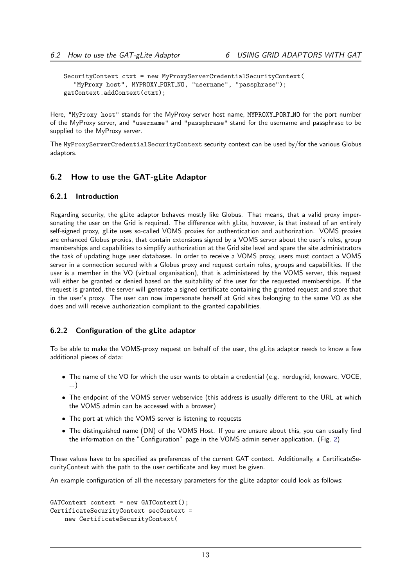```
SecurityContext ctxt = new MyProxyServerCredentialSecurityContext(
  "MyProxy host", MYPROXY PORT NO, "username", "passphrase");
gatContext.addContext(ctxt);
```
Here, "MyProxy host" stands for the MyProxy server host name, MYPROXY\_PORT\_NO for the port number of the MyProxy server, and "username" and "passphrase" stand for the username and passphrase to be supplied to the MyProxy server.

The MyProxyServerCredentialSecurityContext security context can be used by/for the various Globus adaptors.

#### 6.2 How to use the GAT-gLite Adaptor

#### 6.2.1 Introduction

Regarding security, the gLite adaptor behaves mostly like Globus. That means, that a valid proxy impersonating the user on the Grid is required. The difference with gLite, however, is that instead of an entirely self-signed proxy, gLite uses so-called VOMS proxies for authentication and authorization. VOMS proxies are enhanced Globus proxies, that contain extensions signed by a VOMS server about the user's roles, group memberships and capabilities to simplify authorization at the Grid site level and spare the site administrators the task of updating huge user databases. In order to receive a VOMS proxy, users must contact a VOMS server in a connection secured with a Globus proxy and request certain roles, groups and capabilities. If the user is a member in the VO (virtual organisation), that is administered by the VOMS server, this request will either be granted or denied based on the suitability of the user for the requested memberships. If the request is granted, the server will generate a signed certificate containing the granted request and store that in the user's proxy. The user can now impersonate herself at Grid sites belonging to the same VO as she does and will receive authorization compliant to the granted capabilities.

#### 6.2.2 Configuration of the gLite adaptor

To be able to make the VOMS-proxy request on behalf of the user, the gLite adaptor needs to know a few additional pieces of data:

- The name of the VO for which the user wants to obtain a credential (e.g. nordugrid, knowarc, VOCE, ...)
- *•* The endpoint of the VOMS server webservice (this address is usually different to the URL at which the VOMS admin can be accessed with a browser)
- *•* The port at which the VOMS server is listening to requests
- *•* The distinguished name (DN) of the VOMS Host. If you are unsure about this, you can usually find the information on the "Configuration" page in the VOMS admin server application. (Fig. [2\)](#page-14-0)

These values have to be specified as preferences of the current GAT context. Additionally, a CertificateSecurityContext with the path to the user certificate and key must be given.

An example configuration of all the necessary parameters for the gLite adaptor could look as follows:

```
GATContext context = new GATContext();
CertificateSecurityContext secContext =
   new CertificateSecurityContext(
```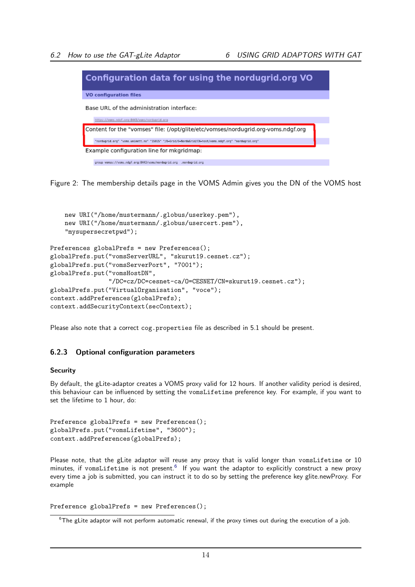

Figure 2: The membership details page in the VOMS Admin gives you the DN of the VOMS host

```
new URI("/home/mustermann/.globus/userkey.pem"),
   new URI("/home/mustermann/.globus/usercert.pem"),
    "mysupersecretpwd");
Preferences globalPrefs = new Preferences();
globalPrefs.put("vomsServerURL", "skurut19.cesnet.cz");
globalPrefs.put("vomsServerPort", "7001");
globalPrefs.put("vomsHostDN",
                "/DC=cz/DC=cesnet-ca/O=CESNET/CN=skurut19.cesnet.cz");
globalPrefs.put("VirtualOrganisation", "voce");
context.addPreferences(globalPrefs);
context.addSecurityContext(secContext);
```
Please also note that a correct cog.properties file as described in 5.1 should be present.

## 6.2.3 Optional configuration parameters

#### **Security**

By default, the gLite-adaptor creates a VOMS proxy valid for 12 hours. If another validity period is desired, this behaviour can be influenced by setting the vomsLifetime preference key. For example, if you want to set the lifetime to 1 hour, do:

```
Preference globalPrefs = new Preferences();
globalPrefs.put("vomsLifetime", "3600");
context.addPreferences(globalPrefs);
```
Please note, that the gLite adaptor will reuse any proxy that is valid longer than vomsLifetime or 10 minutes, if vomsLifetime is not present.<sup>[6](#page-14-1)</sup> If you want the adaptor to explicitly construct a new proxy every time a job is submitted, you can instruct it to do so by setting the preference key glite.newProxy. For example

```
Preference globalPrefs = new Preferences();
```
<span id="page-14-1"></span> $^6$ The gLite adaptor will not perform automatic renewal, if the proxy times out during the execution of a job.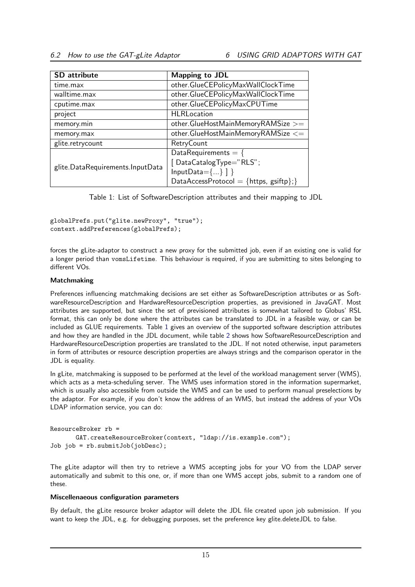| <b>SD</b> attribute              | Mapping to JDL                         |
|----------------------------------|----------------------------------------|
| time.max                         | other.GlueCEPolicyMaxWallClockTime     |
| walltime.max                     | other.GlueCEPolicyMaxWallClockTime     |
| cputime.max                      | other.GlueCEPolicyMaxCPUTime           |
| project                          | <b>HLRLocation</b>                     |
| memory.min                       | other.GlueHostMainMemoryRAMSize >=     |
| memory.max                       | other.GlueHostMainMemoryRAMSize <=     |
| glite.retrycount                 | RetryCount                             |
| glite.DataRequirements.InputData | DataRequirements = $\{$                |
|                                  | [DataCatalogType="RLS";                |
|                                  | $InputData = \{\}$ ]                   |
|                                  | DataAccessProtocol = {https, gsiftp};} |

<span id="page-15-0"></span>Table 1: List of SoftwareDescription attributes and their mapping to JDL

globalPrefs.put("glite.newProxy", "true"); context.addPreferences(globalPrefs);

forces the gLite-adaptor to construct a new proxy for the submitted job, even if an existing one is valid for a longer period than vomsLifetime. This behaviour is required, if you are submitting to sites belonging to different VOs.

#### Matchmaking

Preferences influencing matchmaking decisions are set either as SoftwareDescription attributes or as SoftwareResourceDescription and HardwareResourceDescription properties, as previsioned in JavaGAT. Most attributes are supported, but since the set of previsioned attributes is somewhat tailored to Globus' RSL format, this can only be done where the attributes can be translated to JDL in a feasible way, or can be included as GLUE requirements. Table [1](#page-15-0) gives an overview of the supported software description attributes and how they are handled in the JDL document, while table [2](#page-16-0) shows how SoftwareResourceDescription and HardwareResourceDescription properties are translated to the JDL. If not noted otherwise, input parameters in form of attributes or resource description properties are always strings and the comparison operator in the JDL is equality.

In gLite, matchmaking is supposed to be performed at the level of the workload management server (WMS), which acts as a meta-scheduling server. The WMS uses information stored in the information supermarket, which is usually also accessible from outside the WMS and can be used to perform manual preselections by the adaptor. For example, if you don't know the address of an WMS, but instead the address of your VOs LDAP information service, you can do:

```
ResourceBroker rb =
      GAT.createResourceBroker(context, "ldap://is.example.com");
Job job = rb.submitJob(jobDesc);
```
The gLite adaptor will then try to retrieve a WMS accepting jobs for your VO from the LDAP server automatically and submit to this one, or, if more than one WMS accept jobs, submit to a random one of these.

#### Miscellenaeous configuration parameters

By default, the gLite resource broker adaptor will delete the JDL file created upon job submission. If you want to keep the JDL, e.g. for debugging purposes, set the preference key glite.deleteJDL to false.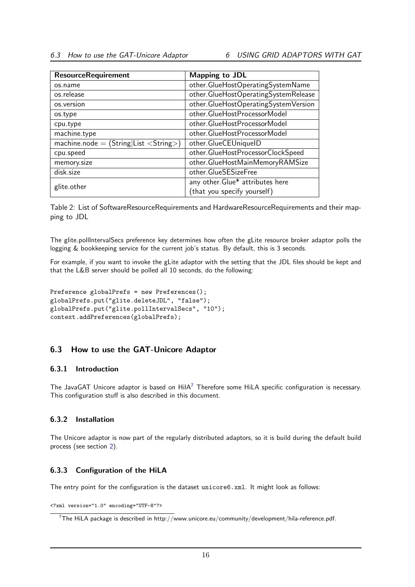| <b>ResourceRequirement</b>      | <b>Mapping to JDL</b>                |
|---------------------------------|--------------------------------------|
| os.name                         | other.GlueHostOperatingSystemName    |
| os.release                      | other.GlueHostOperatingSystemRelease |
| os.version                      | other.GlueHostOperatingSystemVersion |
| os.type                         | other.GlueHostProcessorModel         |
| cpu.type                        | other.GlueHostProcessorModel         |
| machine.type                    | other.GlueHostProcessorModel         |
| $machine.node = (String List )$ | other.GlueCEUniqueID                 |
| cpu.speed                       | other.GlueHostProcessorClockSpeed    |
| memory.size                     | other.GlueHostMainMemoryRAMSize      |
| disk.size                       | other.GlueSESizeFree                 |
| glite.other                     | any other. Glue* attributes here     |
|                                 | (that you specify yourself)          |

<span id="page-16-0"></span>Table 2: List of SoftwareResourceRequirements and HardwareResourceRequirements and their mapping to JDL

The glite.pollIntervalSecs preference key determines how often the gLite resource broker adaptor polls the logging & bookkeeping service for the current job's status. By default, this is 3 seconds.

For example, if you want to invoke the gLite adaptor with the setting that the JDL files should be kept and that the L&B server should be polled all 10 seconds, do the following:

```
Preference globalPrefs = new Preferences();
globalPrefs.put("glite.deleteJDL", "false");
globalPrefs.put("glite.pollIntervalSecs", "10");
context.addPreferences(globalPrefs);
```
## 6.3 How to use the GAT-Unicore Adaptor

#### 6.3.1 Introduction

The JavaGAT Unicore adaptor is based on  $H \cdot \text{H}$  Therefore some  $H \cdot \text{H}$  specific configuration is necessary. This configuration stuff is also described in this document.

#### 6.3.2 Installation

The Unicore adaptor is now part of the regularly distributed adaptors, so it is build during the default build process (see section [2\)](#page-2-0).

#### 6.3.3 Configuration of the HiLA

The entry point for the configuration is the dataset unicore6.xml. It might look as follows:

<?xml version="1.0" encoding="UTF-8"?>

<span id="page-16-1"></span> $^7$ The HiLA package is described in http://www.unicore.eu/community/development/hila-reference.pdf.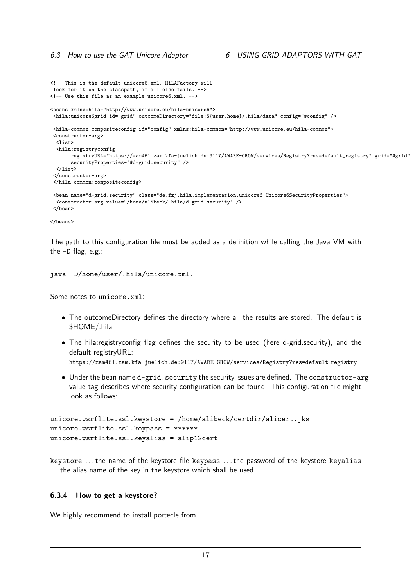```
<!-- This is the default unicore6.xml. HiLAFactory will
look for it on the classpath, if all else fails. -->
<!-- Use this file as an example unicore6.xml. -->
<beans xmlns:hila="http://www.unicore.eu/hila-unicore6">
 <hila:unicore6grid id="grid" outcomeDirectory="file:${user.home}/.hila/data" config="#config" />
 <hila-common:compositeconfig id="config" xmlns:hila-common="http://www.unicore.eu/hila-common">
<constructor-arg>
 <list>
 <hila:registryconfig
      registryURL="https://zam461.zam.kfa-juelich.de:9117/AWARE-GROW/services/Registry?res=default_registry" grid="#grid"
       securityProperties="#d-grid.security" />
 \langle/list>
 </constructor-arg>
 </hila-common:compositeconfig>
 <bean name="d-grid.security" class="de.fzj.hila.implementation.unicore6.Unicore6SecurityProperties">
 <constructor-arg value="/home/alibeck/.hila/d-grid.security" />
 </bean>
```

```
</beans>
```
The path to this configuration file must be added as a definition while calling the Java VM with the -D flag, e.g.:

```
java -D/home/user/.hila/unicore.xml.
```
Some notes to unicore.xml:

- *•* The outcomeDirectory defines the directory where all the results are stored. The default is \$HOME/.hila
- The hila:registryconfig flag defines the security to be used (here d-grid.security), and the default registryURL: https://zam461.zam.kfa-juelich.de:9117/AWARE-GROW/services/Registry?res=default registry
- Under the bean name d-grid.security the security issues are defined. The constructor-arg value tag describes where security configuration can be found. This configuration file might look as follows:

```
unicore.wsrflite.ssl.keystore = /home/alibeck/certdir/alicert.jks
unicore.wsrflite.ssl.keypass = ******
unicore.wsrflite.ssl.keyalias = alip12cert
```
keystore . . . the name of the keystore file keypass . . . the password of the keystore keyalias . . . the alias name of the key in the keystore which shall be used.

#### 6.3.4 How to get a keystore?

We highly recommend to install portecle from